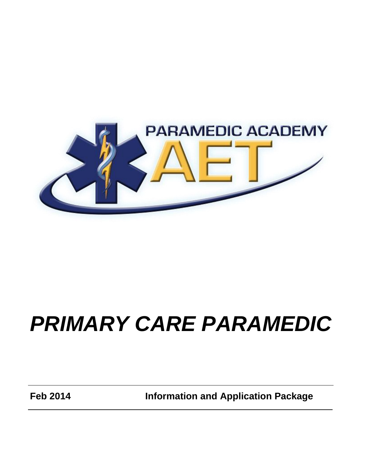

# *PRIMARY CARE PARAMEDIC*

**Feb 2014 Information and Application Package**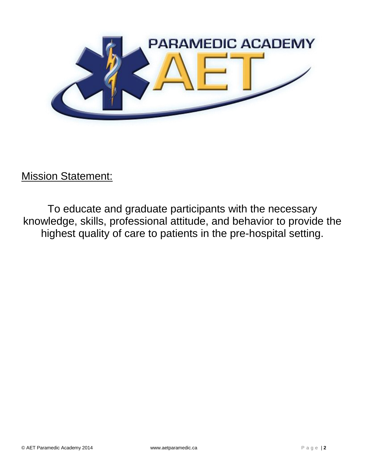

**Mission Statement:** 

To educate and graduate participants with the necessary knowledge, skills, professional attitude, and behavior to provide the highest quality of care to patients in the pre-hospital setting.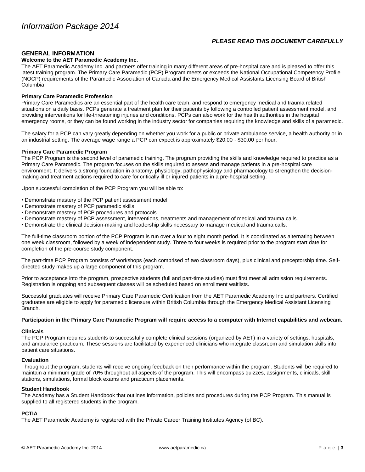# *PLEASE READ THIS DOCUMENT CAREFULLY*

# **GENERAL INFORMATION**

# **Welcome to the AET Paramedic Academy Inc.**

The AET Paramedic Academy Inc. and partners offer training in many different areas of pre-hospital care and is pleased to offer this latest training program. The Primary Care Paramedic (PCP) Program meets or exceeds the National Occupational Competency Profile (NOCP) requirements of the Paramedic Association of Canada and the Emergency Medical Assistants Licensing Board of British Columbia.

# **Primary Care Paramedic Profession**

Primary Care Paramedics are an essential part of the health care team, and respond to emergency medical and trauma related situations on a daily basis. PCPs generate a treatment plan for their patients by following a controlled patient assessment model, and providing interventions for life-threatening injuries and conditions. PCPs can also work for the health authorities in the hospital emergency rooms, or they can be found working in the industry sector for companies requiring the knowledge and skills of a paramedic.

The salary for a PCP can vary greatly depending on whether you work for a public or private ambulance service, a health authority or in an industrial setting. The average wage range a PCP can expect is approximately \$20.00 - \$30.00 per hour.

# **Primary Care Paramedic Program**

The PCP Program is the second level of paramedic training. The program providing the skills and knowledge required to practice as a Primary Care Paramedic. The program focuses on the skills required to assess and manage patients in a pre-hospital care environment. It delivers a strong foundation in anatomy, physiology, pathophysiology and pharmacology to strengthen the decisionmaking and treatment actions required to care for critically ill or injured patients in a pre-hospital setting.

Upon successful completion of the PCP Program you will be able to:

- Demonstrate mastery of the PCP patient assessment model.
- Demonstrate mastery of PCP paramedic skills.
- Demonstrate mastery of PCP procedures and protocols.
- Demonstrate mastery of PCP assessment, interventions, treatments and management of medical and trauma calls.
- Demonstrate the clinical decision-making and leadership skills necessary to manage medical and trauma calls.

The full-time classroom portion of the PCP Program is run over a four to eight month period. It is coordinated as alternating between one week classroom, followed by a week of independent study. Three to four weeks is required prior to the program start date for completion of the pre-course study component.

The part-time PCP Program consists of workshops (each comprised of two classroom days), plus clinical and preceptorship time. Selfdirected study makes up a large component of this program.

Prior to acceptance into the program, prospective students (full and part-time studies) must first meet all admission requirements. Registration is ongoing and subsequent classes will be scheduled based on enrollment waitlists.

Successful graduates will receive Primary Care Paramedic Certification from the AET Paramedic Academy Inc and partners. Certified graduates are eligible to apply for paramedic licensure within British Columbia through the Emergency Medical Assistant Licensing Branch.

#### **Participation in the Primary Care Paramedic Program will require access to a computer with Internet capabilities and webcam.**

# **Clinicals**

The PCP Program requires students to successfully complete clinical sessions (organized by AET) in a variety of settings; hospitals, and ambulance practicum. These sessions are facilitated by experienced clinicians who integrate classroom and simulation skills into patient care situations.

## **Evaluation**

Throughout the program, students will receive ongoing feedback on their performance within the program. Students will be required to maintain a minimum grade of 70% throughout all aspects of the program. This will encompass quizzes, assignments, clinicals, skill stations, simulations, formal block exams and practicum placements.

## **Student Handbook**

The Academy has a Student Handbook that outlines information, policies and procedures during the PCP Program. This manual is supplied to all registered students in the program.

# **PCTIA**

The AET Paramedic Academy is registered with the Private Career Training Institutes Agency (of BC).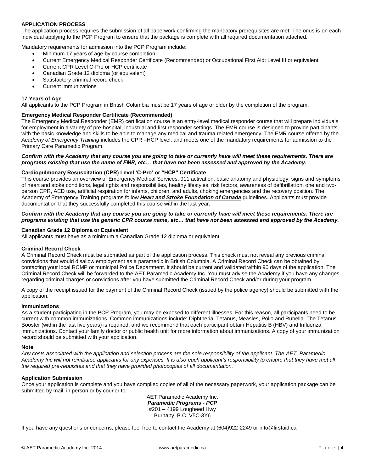# **APPLICATION PROCESS**

The application process requires the submission of all paperwork confirming the mandatory prerequisites are met. The onus is on each individual applying to the PCP Program to ensure that the package is complete with all required documentation attached.

Mandatory requirements for admission into the PCP Program include:

- Minimum 17 years of age by course completion.
- Current Emergency Medical Responder Certificate (Recommended) or Occupational First Aid: Level III or equivalent
- Current CPR Level C-Pro or HCP certificate
- Canadian Grade 12 diploma (or equivalent)
- Satisfactory criminal record check
- Current immunizations

## **17 Years of Age**

All applicants to the PCP Program in British Columbia must be 17 years of age or older by the completion of the program.

# **Emergency Medical Responder Certificate (Recommended)**

The Emergency Medical Responder (EMR) certification course is an entry-level medical responder course that will prepare individuals for employment in a variety of pre-hospital, industrial and first responder settings. The EMR course is designed to provide participants with the basic knowledge and skills to be able to manage any medical and trauma related emergency. The EMR course offered by the *Academy of Emergency Training* includes the CPR –HCP level, and meets one of the mandatory requirements for admission to the Primary Care Paramedic Program.

## *Confirm with the Academy that any course you are going to take or currently have will meet these requirements. There are programs existing that use the name of EMR, etc… that have not been assessed and approved by the Academy.*

# **Cardiopulmonary Resuscitation (CPR) Level 'C-Pro' or "HCP" Certificate**

This course provides an overview of Emergency Medical Services, 911 activation, basic anatomy and physiology, signs and symptoms of heart and stoke conditions, legal rights and responsibilities, healthy lifestyles, risk factors, awareness of defibrillation, one and twoperson CPR, AED use, artificial respiration for infants, children, and adults, choking emergencies and the recovery position. The Academy of Emergency Training programs follow *Heart and Stroke Foundation of Canada* guidelines. Applicants must provide documentation that they successfully completed this course within the last year.

# *Confirm with the Academy that any course you are going to take or currently have will meet these requirements. There are programs existing that use the generic CPR course name, etc… that have not been assessed and approved by the Academy.*

## **Canadian Grade 12 Diploma or Equivalent**

All applicants must have as a minimum a Canadian Grade 12 diploma or equivalent.

#### **Criminal Record Check**

A Criminal Record Check must be submitted as part of the application process. This check must not reveal any previous criminal convictions that would disallow employment as a paramedic in British Columbia. A Criminal Record Check can be obtained by contacting your local RCMP or municipal Police Department. It should be current and validated within 90 days of the application. The Criminal Record Check will be forwarded to the AET Paramedic Academy Inc. You must advise the Academy if you have any changes regarding criminal charges or convictions after you have submitted the Criminal Record Check and/or during your program.

A copy of the receipt issued for the payment of the Criminal Record Check (issued by the police agency) should be submitted with the application.

#### **Immunizations**

As a student participating in the PCP Program, you may be exposed to different illnesses. For this reason, all participants need to be current with common immunizations. Common immunizations include: Diphtheria, Tetanus, Measles, Polio and Rubella. The Tetanus Booster (within the last five years) is required, and we recommend that each participant obtain Hepatitis B (HBV) and Influenza immunizations. Contact your family doctor or public health unit for more information about immunizations. A copy of your immunization record should be submitted with your application.

#### **Note**

*Any costs associated with the application and selection process are the sole responsibility of the applicant. The AET Paramedic Academy Inc will not reimburse applicants for any expenses. It is also each applicant's responsibility to ensure that they have met all the required pre-requisites and that they have provided photocopies of all documentation.*

# **Application Submission**

Once your application is complete and you have compiled copies of all of the necessary paperwork, your application package can be submitted by mail, in person or by courier to:

> AET Paramedic Academy Inc. *Paramedic Programs - PCP* #201 – 4199 Lougheed Hwy Burnaby, B.C. V5C-3Y6

If you have any questions or concerns, please feel free to contact the Academy at (604)922-2249 or info@firstaid.ca